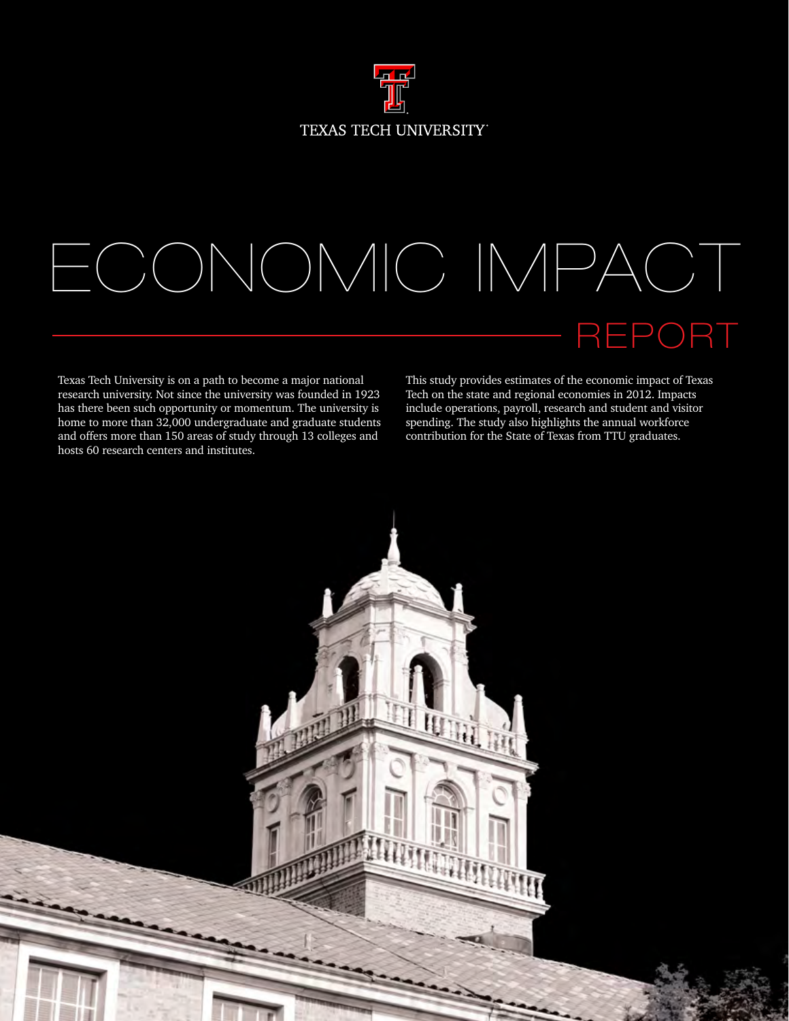

## ECONOMIC IMPACT REPORT

Texas Tech University is on a path to become a major national research university. Not since the university was founded in 1923 has there been such opportunity or momentum. The university is home to more than 32,000 undergraduate and graduate students and offers more than 150 areas of study through 13 colleges and hosts 60 research centers and institutes.

This study provides estimates of the economic impact of Texas Tech on the state and regional economies in 2012. Impacts include operations, payroll, research and student and visitor spending. The study also highlights the annual workforce contribution for the State of Texas from TTU graduates.

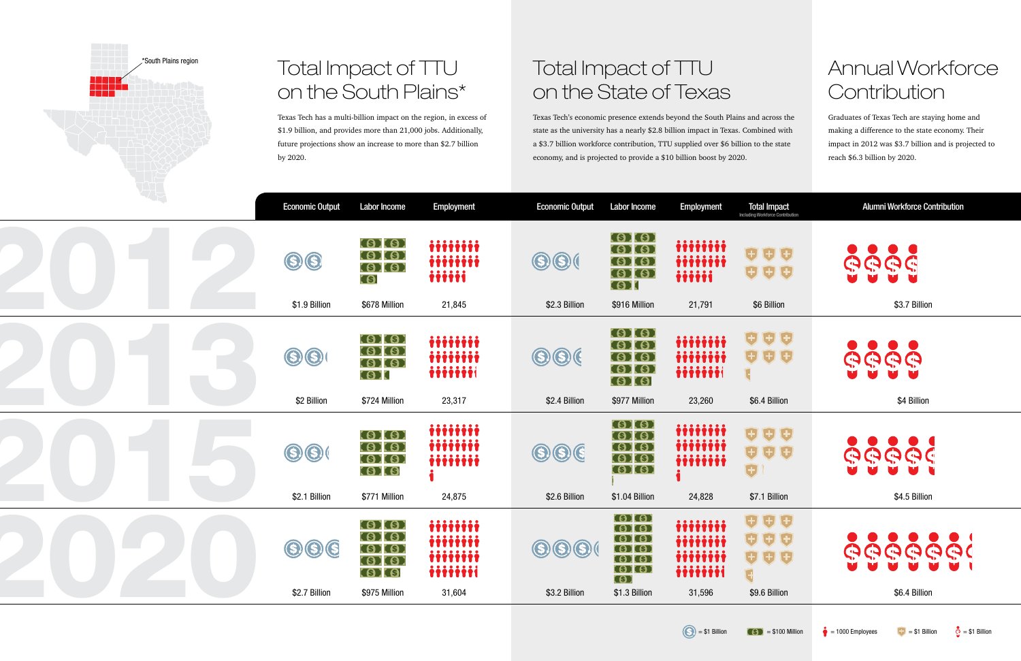## Total Impact of TTU on the South Plains\*

Texas Tech has a multi-billion impact on the region, in excess of \$1.9 billion, and provides more than 21,000 jobs. Additionally, future projections show an increase to more than \$2.7 billion by 2020.

## Total Impact of TTU on the State of Texas

## Annual Workforce **Contribution**

Texas Tech's economic presence extends beyond the South Plains and across the state as the university has a nearly \$2.8 billion impact in Texas. Combined with a \$3.7 billion workforce contribution, TTU supplied over \$6 billion to the state economy, and is projected to provide a \$10 billion boost by 2020.

| <b>Economic Output</b>       | <b>Labor Income</b>                                                     | <b>Employment</b>                                   | <b>Economic Output</b>                            | <b>Labor Income</b>                                                                                                                        | <b>Employment</b>                                    | <b>Total Impact</b><br>Including Workforce Contribution          | <b>Alumni Workforce Contribution</b> |
|------------------------------|-------------------------------------------------------------------------|-----------------------------------------------------|---------------------------------------------------|--------------------------------------------------------------------------------------------------------------------------------------------|------------------------------------------------------|------------------------------------------------------------------|--------------------------------------|
| $\bigcirc$<br>$\bigcirc$     | (S) (S)<br>S(S)<br><b>SHISH</b><br>G                                    | iiiiiiii<br>iiiiiiii<br>iiiii                       | $\bigcirc$ $\bigcirc$                             | (S) (S)<br><b>SHIS</b><br>S(S)<br>(S) (S)<br><b>GER</b>                                                                                    | iiiiiiii<br>iiiiiiii<br>iiiii                        | 000<br>$\theta$ $\theta$ $\theta$                                | もももむ                                 |
| \$1.9 Billion                | \$678 Million                                                           | 21,845                                              | \$2.3 Billion                                     | \$916 Million                                                                                                                              | 21,791                                               | \$6 Billion                                                      | \$3.7 Billion                        |
| $\bigcirc$<br>$\bigcirc$     | (S) (S)<br>(\$) (\$)<br>S(S)<br>GI                                      | iiiiiii<br>iiiiiiii<br>iiiiiii                      | $\bigcirc$ $\bigcirc$ (                           | S(S)<br>(S) (S)<br>$\bullet$ $\bullet$<br>S(S)<br>(S) (S)                                                                                  | iiiiiiii<br>iiiiiiii<br>iiiiiii                      | $\theta$ $\theta$ $\theta$<br><b>999</b>                         | $\bullet$<br>D<br>ゆゆうむ               |
| \$2 Billion                  | \$724 Million                                                           | 23,317                                              | \$2.4 Billion                                     | \$977 Million                                                                                                                              | 23,260                                               | \$6.4 Billion                                                    | \$4 Billion                          |
| $\bigcirc$                   | <b>SHISH</b><br><b>SHISH</b><br>(S) (S)<br>S <sub>1</sub>               | iiiiiiii<br>iiiiiii<br>iiiiiii                      | $\bigcirc$ $\bigcirc$ $\bigcirc$                  | <b>SERIES</b><br><b>(S) (S)</b><br>(S) (S)<br><b>(S) (S)</b><br><b>SEE SEE</b>                                                             | iiiiiiii<br>iiiiiiii<br>iiiiiiii                     | 000<br>000<br>O                                                  | <b>GGGGG</b>                         |
| \$2.1 Billion                | \$771 Million                                                           | 24,875                                              | \$2.6 Billion                                     | \$1.04 Billion                                                                                                                             | 24,828                                               | \$7.1 Billion                                                    | \$4.5 Billion                        |
| $\circledS$<br>\$2.7 Billion | S(S)<br>(\$) (\$)<br>(S) (S)<br>(S) (S)<br><b>SPIS</b><br>\$975 Million | iiiiiiii<br>iiiiiii<br>iiiiiii<br>iiiiiii<br>31,604 | $\bigcirc$ $\bigcirc$ $\bigcirc$<br>\$3.2 Billion | $\left( \circ \right)$<br>(S) (S)<br>$\left( \circ \right)$<br>(\$) (\$)<br>$\left( \circ \right)$<br>(S) (S)<br><b>G</b><br>\$1.3 Billion | iiiiiii<br>iiiiiiii<br>iiiiiiii<br>iiiiiii<br>31,596 | 0 O O<br>000<br>$\theta$ $\theta$ $\theta$<br>G<br>\$9.6 Billion | <b>GGGGGGG</b><br>\$6.4 Billion      |
|                              |                                                                         |                                                     |                                                   |                                                                                                                                            |                                                      |                                                                  |                                      |

Graduates of Texas Tech are staying home and making a difference to the state economy. Their impact in 2012 was \$3.7 billion and is projected to reach \$6.3 billion by 2020.